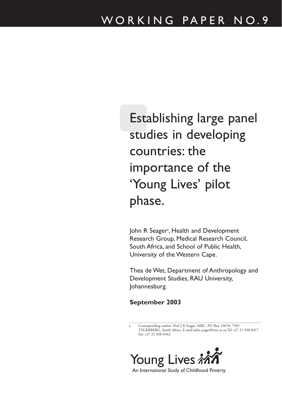Establishing large panel studies in developing countries: the importance of the 'Young Lives' pilot phase.

John R Seager<sup>a</sup>, Health and Development Research Group, Medical Research Council, South Africa, and School of Public Health, University of the Western Cape.

Thea de Wet, Department of Anthropology and Development Studies, RAU University, Johannesburg.

**September 2003**

Corresponding author: Prof J R Seager, MRC, PO Box 19070, 7505 TYGERBERG, South Africa. E-mail john.seager@mrc.ac.za Tel +27 21 938 0417 Fax +27 21 938 0342



An International Study of Childhood Poverty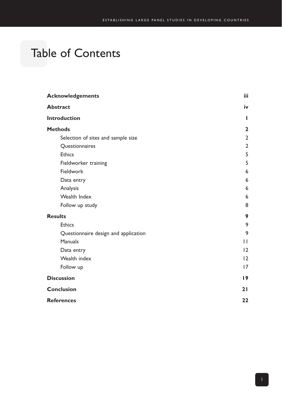# Table of Contents

| <b>Acknowledgements</b>              | iii            |
|--------------------------------------|----------------|
| <b>Abstract</b>                      | iv             |
| <b>Introduction</b>                  | ш              |
| <b>Methods</b>                       | $\mathbf{2}$   |
| Selection of sites and sample size   | $\overline{2}$ |
| Questionnaires                       | $\overline{2}$ |
| <b>Ethics</b>                        | 5              |
| Fieldworker training                 | 5              |
| <b>Fieldwork</b>                     | 6              |
| Data entry                           | 6              |
| Analysis                             | 6              |
| <b>Wealth Index</b>                  | 6              |
| Follow up study                      | 8              |
| <b>Results</b>                       | 9              |
| <b>Ethics</b>                        | 9              |
| Questionnaire design and application | 9              |
| <b>Manuals</b>                       | $\mathbf{H}$   |
| Data entry                           | 12             |
| Wealth index                         | 12             |
| Follow up                            | 17             |
| <b>Discussion</b>                    | 19             |
| <b>Conclusion</b>                    | 21             |
| <b>References</b>                    | 22             |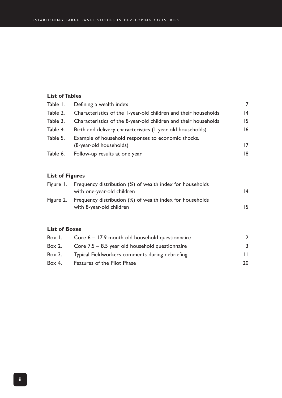#### **List of Tables**

|          | Table 1. Defining a wealth index                                              |                 |
|----------|-------------------------------------------------------------------------------|-----------------|
| Table 2. | Characteristics of the 1-year-old children and their households               | $\overline{14}$ |
| Table 3. | Characteristics of the 8-year-old children and their households               | 15              |
| Table 4. | Birth and delivery characteristics (1 year old households)                    | $\overline{6}$  |
| Table 5. | Example of household responses to economic shocks.<br>(8-year-old households) | 17              |
| Table 6. | Follow-up results at one year                                                 | 18.             |
|          |                                                                               |                 |

#### **List of Figures**

| Figure 1. Frequency distribution (%) of wealth index for households<br>with one-year-old children | 14 |
|---------------------------------------------------------------------------------------------------|----|
| Figure 2. Frequency distribution (%) of wealth index for households<br>with 8-year-old children   | 15 |

#### **List of Boxes**

| Box I. | Core $6 - 17.9$ month old household questionnaire |              |
|--------|---------------------------------------------------|--------------|
| Box 2. | Core $7.5 - 8.5$ year old household questionnaire | 3            |
| Box 3. | Typical Fieldworkers comments during debriefing   | $\mathbf{L}$ |
| Box 4. | Features of the Pilot Phase                       | 20           |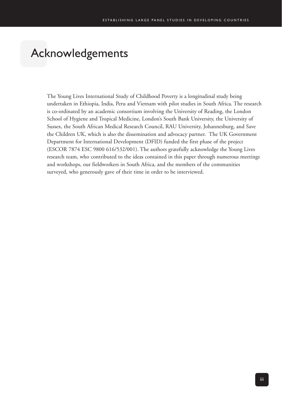# Acknowledgements

The Young Lives International Study of Childhood Poverty is a longitudinal study being undertaken in Ethiopia, India, Peru and Vietnam with pilot studies in South Africa. The research is co-ordinated by an academic consortium involving the University of Reading, the London School of Hygiene and Tropical Medicine, London's South Bank University, the University of Sussex, the South African Medical Research Council, RAU University, Johannesburg, and Save the Children UK, which is also the dissemination and advocacy partner. The UK Government Department for International Development (DFID) funded the first phase of the project (ESCOR 7874 ESC 9800 616/532/001). The authors gratefully acknowledge the Young Lives research team, who contributed to the ideas contained in this paper through numerous meetings and workshops, our fieldworkers in South Africa, and the members of the communities surveyed, who generously gave of their time in order to be interviewed.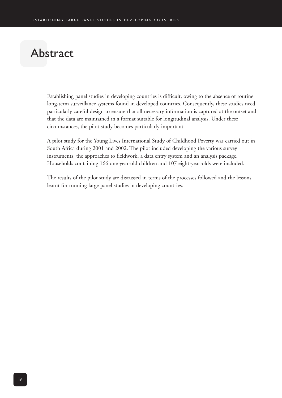# Abstract

Establishing panel studies in developing countries is difficult, owing to the absence of routine long-term surveillance systems found in developed countries. Consequently, these studies need particularly careful design to ensure that all necessary information is captured at the outset and that the data are maintained in a format suitable for longitudinal analysis. Under these circumstances, the pilot study becomes particularly important.

A pilot study for the Young Lives International Study of Childhood Poverty was carried out in South Africa during 2001 and 2002. The pilot included developing the various survey instruments, the approaches to fieldwork, a data entry system and an analysis package. Households containing 166 one-year-old children and 107 eight-year-olds were included.

The results of the pilot study are discussed in terms of the processes followed and the lessons learnt for running large panel studies in developing countries.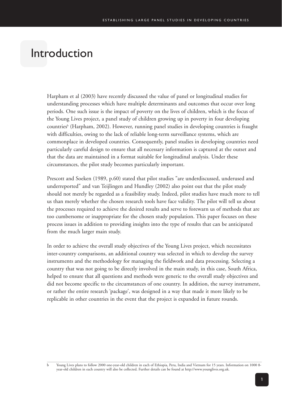## Introduction

Harpham et al (2003) have recently discussed the value of panel or longitudinal studies for understanding processes which have multiple determinants and outcomes that occur over long periods. One such issue is the impact of poverty on the lives of children, which is the focus of the Young Lives project, a panel study of children growing up in poverty in four developing countries<sup>b</sup> (Harpham, 2002). However, running panel studies in developing countries is fraught with difficulties, owing to the lack of reliable long-term surveillance systems, which are commonplace in developed countries. Consequently, panel studies in developing countries need particularly careful design to ensure that all necessary information is captured at the outset and that the data are maintained in a format suitable for longitudinal analysis. Under these circumstances, the pilot study becomes particularly important.

Prescott and Soeken (1989, p.60) stated that pilot studies "are underdiscussed, underused and underreported" and van Teijlingen and Hundley (2002) also point out that the pilot study should not merely be regarded as a feasibility study. Indeed, pilot studies have much more to tell us than merely whether the chosen research tools have face validity. The pilot will tell us about the processes required to achieve the desired results and serve to forewarn us of methods that are too cumbersome or inappropriate for the chosen study population. This paper focuses on these process issues in addition to providing insights into the type of results that can be anticipated from the much larger main study.

In order to achieve the overall study objectives of the Young Lives project, which necessitates inter-country comparisons, an additional country was selected in which to develop the survey instruments and the methodology for managing the fieldwork and data processing. Selecting a country that was not going to be directly involved in the main study, in this case, South Africa, helped to ensure that all questions and methods were generic to the overall study objectives and did not become specific to the circumstances of one country. In addition, the survey instrument, or rather the entire research 'package', was designed in a way that made it more likely to be replicable in other countries in the event that the project is expanded in future rounds.

b Young Lives plans to follow 2000 one-year-old children in each of Ethiopia, Peru, India and Vietnam for 15 years. Information on 1000 8 year-old children in each country will also be collected. Further details can be found at http://www.younglives.org.uk.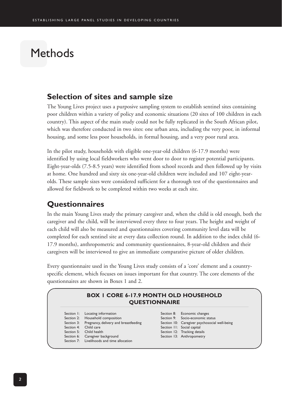## Methods

#### **Selection of sites and sample size**

The Young Lives project uses a purposive sampling system to establish sentinel sites containing poor children within a variety of policy and economic situations (20 sites of 100 children in each country). This aspect of the main study could not be fully replicated in the South African pilot, which was therefore conducted in two sites: one urban area, including the very poor, in informal housing, and some less poor households, in formal housing, and a very poor rural area.

In the pilot study, households with eligible one-year-old children (6-17.9 months) were identified by using local fieldworkers who went door to door to register potential participants. Eight-year-olds (7.5-8.5 years) were identified from school records and then followed up by visits at home. One hundred and sixty six one-year-old children were included and 107 eight-yearolds. These sample sizes were considered sufficient for a thorough test of the questionnaires and allowed for fieldwork to be completed within two weeks at each site.

#### **Questionnaires**

In the main Young Lives study the primary caregiver and, when the child is old enough, both the caregiver and the child, will be interviewed every three to four years. The height and weight of each child will also be measured and questionnaires covering community level data will be completed for each sentinel site at every data collection round. In addition to the index child (6- 17.9 months), anthropometric and community questionnaires, 8-year-old children and their caregivers will be interviewed to give an immediate comparative picture of older children.

Every questionnaire used in the Young Lives study consists of a 'core' element and a countryspecific element, which focuses on issues important for that country. The core elements of the questionnaires are shown in Boxes 1 and 2.

|            |                                            | <b>QUESTIONNAIRE</b> |                                               |
|------------|--------------------------------------------|----------------------|-----------------------------------------------|
| Section 1: | Locating information                       |                      | Section 8: Economic changes                   |
|            | Section 2: Household composition           |                      | Section 9: Socio-economic status              |
| Section 3: | Pregnancy, delivery and breastfeeding      |                      | Section 10: Caregiver psychosocial well-being |
|            | Section 4: Child care                      |                      | Section 11: Social capital                    |
|            | Section 5: Child health                    |                      | Section 12: Tracking details                  |
|            | Section 6: Caregiver background            |                      | Section 13: Anthropometry                     |
|            | Section 7: Livelihoods and time allocation |                      |                                               |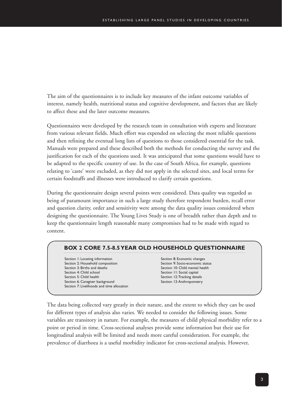The aim of the questionnaires is to include key measures of the infant outcome variables of interest, namely health, nutritional status and cognitive development, and factors that are likely to affect these and the later outcome measures.

Questionnaires were developed by the research team in consultation with experts and literature from various relevant fields. Much effort was expended on selecting the most reliable questions and then refining the eventual long lists of questions to those considered essential for the task. Manuals were prepared and these described both the methods for conducting the survey and the justification for each of the questions used. It was anticipated that some questions would have to be adapted to the specific country of use. In the case of South Africa, for example, questions relating to 'caste' were excluded, as they did not apply in the selected sites, and local terms for certain foodstuffs and illnesses were introduced to clarify certain questions.

During the questionnaire design several points were considered. Data quality was regarded as being of paramount importance in such a large study therefore respondent burden, recall error and question clarity, order and sensitivity were among the data quality issues considered when designing the questionnaire. The Young Lives Study is one of breadth rather than depth and to keep the questionnaire length reasonable many compromises had to be made with regard to content.

#### **BOX 2 CORE 7.5-8.5 YEAR OLD HOUSEHOLD QUESTIONNAIRE**

Section 1: Locating information Section 2: Household composition Section 3: Births and deaths Section 4: Child school Section 5: Child health Section 6: Caregiver background Section 7: Livelihoods and time allocation

Section 8: Economic changes Section 9: Socio-economic status Section 10: Child mental health Section 11: Social capital Section 12:Tracking details Section 13: Anthropometry

The data being collected vary greatly in their nature, and the extent to which they can be used for different types of analysis also varies. We needed to consider the following issues. Some variables are transitory in nature. For example, the measures of child physical morbidity refer to a point or period in time. Cross-sectional analyses provide some information but their use for longitudinal analysis will be limited and needs more careful consideration. For example, the prevalence of diarrhoea is a useful morbidity indicator for cross-sectional analysis. However,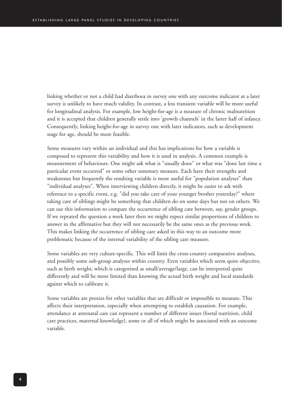linking whether or not a child had diarrhoea in survey one with any outcome indicator at a later survey is unlikely to have much validity. In contrast, a less transient variable will be more useful for longitudinal analysis. For example, low height-for-age is a measure of chronic malnutrition and it is accepted that children generally settle into 'growth channels' in the latter half of infancy. Consequently, linking height-for-age in survey one with later indicators, such as development stage for age, should be more feasible.

Some measures vary within an individual and this has implications for how a variable is composed to represent this variability and how it is used in analysis. A common example is measurement of behaviours. One might ask what is "usually done" or what was "done last time a particular event occurred" or some other summary measure. Each have their strengths and weaknesses but frequently the resulting variable is more useful for "population analyses" than "individual analyses". When interviewing children directly, it might be easier to ask with reference to a specific event, e.g. "did you take care of your younger brother yesterday?" where taking care of siblings might be something that children do on some days but not on others. We can use this information to compare the occurrence of sibling care between, say, gender groups. If we repeated the question a week later then we might expect similar proportions of children to answer in the affirmative but they will not necessarily be the same ones as the previous week. This makes linking the occurrence of sibling care asked in this way to an outcome more problematic because of the internal variability of the sibling care measure.

Some variables are very culture-specific. This will limit the cross-country comparative analyses, and possibly some sub-group analyses within country. Even variables which seem quite objective, such as birth weight, which is categorised as small/average/large, can be interpreted quite differently and will be more limited than knowing the actual birth weight and local standards against which to calibrate it.

Some variables are proxies for other variables that are difficult or impossible to measure. This affects their interpretation, especially when attempting to establish causation. For example, attendance at antenatal care can represent a number of different issues (foetal nutrition, child care practices, maternal knowledge), some or all of which might be associated with an outcome variable.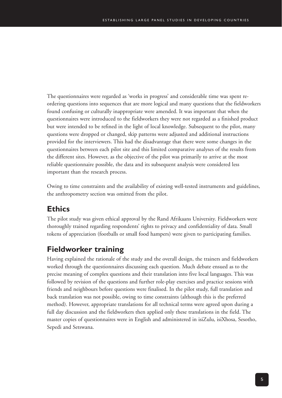The questionnaires were regarded as 'works in progress' and considerable time was spent reordering questions into sequences that are more logical and many questions that the fieldworkers found confusing or culturally inappropriate were amended. It was important that when the questionnaires were introduced to the fieldworkers they were not regarded as a finished product but were intended to be refined in the light of local knowledge. Subsequent to the pilot, many questions were dropped or changed, skip patterns were adjusted and additional instructions provided for the interviewers. This had the disadvantage that there were some changes in the questionnaires between each pilot site and this limited comparative analyses of the results from the different sites. However, as the objective of the pilot was primarily to arrive at the most reliable questionnaire possible, the data and its subsequent analysis were considered less important than the research process.

Owing to time constraints and the availability of existing well-tested instruments and guidelines, the anthropometry section was omitted from the pilot.

## **Ethics**

The pilot study was given ethical approval by the Rand Afrikaans University. Fieldworkers were thoroughly trained regarding respondents' rights to privacy and confidentiality of data. Small tokens of appreciation (footballs or small food hampers) were given to participating families.

## **Fieldworker training**

Having explained the rationale of the study and the overall design, the trainers and fieldworkers worked through the questionnaires discussing each question. Much debate ensued as to the precise meaning of complex questions and their translation into five local languages. This was followed by revision of the questions and further role-play exercises and practice sessions with friends and neighbours before questions were finalised. In the pilot study, full translation and back translation was not possible, owing to time constraints (although this is the preferred method). However, appropriate translations for all technical terms were agreed upon during a full day discussion and the fieldworkers then applied only these translations in the field. The master copies of questionnaires were in English and administered in isiZulu, isiXhosa, Sesotho, Sepedi and Setswana.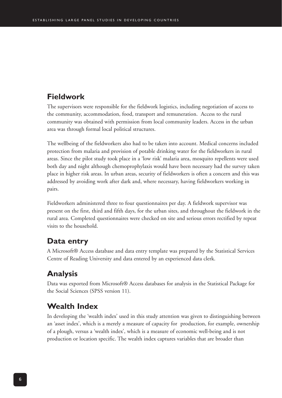## **Fieldwork**

The supervisors were responsible for the fieldwork logistics, including negotiation of access to the community, accommodation, food, transport and remuneration. Access to the rural community was obtained with permission from local community leaders. Access in the urban area was through formal local political structures.

The wellbeing of the fieldworkers also had to be taken into account. Medical concerns included protection from malaria and provision of potable drinking water for the fieldworkers in rural areas. Since the pilot study took place in a 'low risk' malaria area, mosquito repellents were used both day and night although chemoprophylaxis would have been necessary had the survey taken place in higher risk areas. In urban areas, security of fieldworkers is often a concern and this was addressed by avoiding work after dark and, where necessary, having fieldworkers working in pairs.

Fieldworkers administered three to four questionnaires per day. A fieldwork supervisor was present on the first, third and fifth days, for the urban sites, and throughout the fieldwork in the rural area. Completed questionnaires were checked on site and serious errors rectified by repeat visits to the household.

#### **Data entry**

A Microsoft® Access database and data entry template was prepared by the Statistical Services Centre of Reading University and data entered by an experienced data clerk.

## **Analysis**

Data was exported from Microsoft® Access databases for analysis in the Statistical Package for the Social Sciences (SPSS version 11).

## **Wealth Index**

In developing the 'wealth index' used in this study attention was given to distinguishing between an 'asset index', which is a merely a measure of capacity for production, for example, ownership of a plough, versus a 'wealth index', which is a measure of economic well-being and is not production or location specific. The wealth index captures variables that are broader than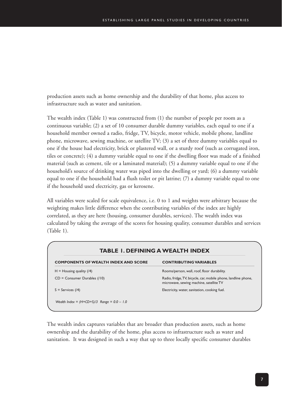production assets such as home ownership and the durability of that home, plus access to infrastructure such as water and sanitation.

The wealth index (Table 1) was constructed from (1) the number of people per room as a continuous variable; (2) a set of 10 consumer durable dummy variables, each equal to one if a household member owned a radio, fridge, TV, bicycle, motor vehicle, mobile phone, landline phone, microwave, sewing machine, or satellite TV; (3) a set of three dummy variables equal to one if the house had electricity, brick or plastered wall, or a sturdy roof (such as corrugated iron, tiles or concrete); (4) a dummy variable equal to one if the dwelling floor was made of a finished material (such as cement, tile or a laminated material); (5) a dummy variable equal to one if the household's source of drinking water was piped into the dwelling or yard; (6) a dummy variable equal to one if the household had a flush toilet or pit latrine; (7) a dummy variable equal to one if the household used electricity, gas or kerosene.

All variables were scaled for scale equivalence, i.e. 0 to 1 and weights were arbitrary because the weighting makes little difference when the contributing variables of the index are highly correlated, as they are here (housing, consumer durables, services). The wealth index was calculated by taking the average of the scores for housing quality, consumer durables and services (Table 1).

| <b>COMPONENTS OF WEALTH INDEX AND SCORE</b> | <b>CONTRIBUTING VARIABLES</b>                                                                             |
|---------------------------------------------|-----------------------------------------------------------------------------------------------------------|
| $H =$ Housing quality (/4)                  | Rooms/person, wall, roof, floor durability.                                                               |
| $CD =$ Consumer Durables (/10)              | Radio, fridge, TV, bicycle, car, mobile phone, landline phone,<br>microwave, sewing machine, satellite TV |
| $S =$ Services (/4)                         | Electricity, water, sanitation, cooking fuel.                                                             |

The wealth index captures variables that are broader than production assets, such as home ownership and the durability of the home, plus access to infrastructure such as water and sanitation. It was designed in such a way that up to three locally specific consumer durables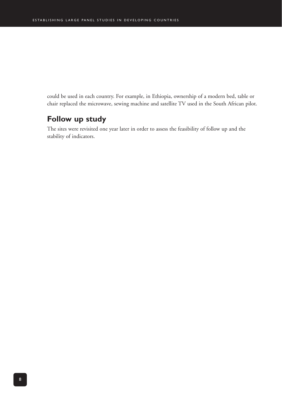could be used in each country. For example, in Ethiopia, ownership of a modern bed, table or chair replaced the microwave, sewing machine and satellite TV used in the South African pilot.

### **Follow up study**

The sites were revisited one year later in order to assess the feasibility of follow up and the stability of indicators.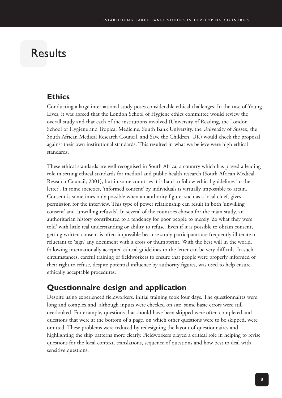## Results

### **Ethics**

Conducting a large international study poses considerable ethical challenges. In the case of Young Lives, it was agreed that the London School of Hygiene ethics committee would review the overall study and that each of the institutions involved (University of Reading, the London School of Hygiene and Tropical Medicine, South Bank University, the University of Sussex, the South African Medical Research Council, and Save the Children, UK) would check the proposal against their own institutional standards. This resulted in what we believe were high ethical standards.

These ethical standards are well recognised in South Africa, a country which has played a leading role in setting ethical standards for medical and public health research (South African Medical Research Council, 2001), but in some countries it is hard to follow ethical guidelines 'to the letter'. In some societies, 'informed consent' by individuals is virtually impossible to attain. Consent is sometimes only possible when an authority figure, such as a local chief, gives permission for the interview. This type of power relationship can result in both 'unwilling consent' and 'unwilling refusals'. In several of the countries chosen for the main study, an authoritarian history contributed to a tendency for poor people to merely 'do what they were told' with little real understanding or ability to refuse. Even if it is possible to obtain consent, getting written consent is often impossible because study participants are frequently illiterate or reluctant to 'sign' any document with a cross or thumbprint. With the best will in the world, following internationally accepted ethical guidelines to the letter can be very difficult. In such circumstances, careful training of fieldworkers to ensure that people were properly informed of their right to refuse, despite potential influence by authority figures, was used to help ensure ethically acceptable procedures.

## **Questionnaire design and application**

Despite using experienced fieldworkers, initial training took four days. The questionnaires were long and complex and, although inputs were checked on site, some basic errors were still overlooked. For example, questions that should have been skipped were often completed and questions that were at the bottom of a page, on which other questions were to be skipped, were omitted. These problems were reduced by redesigning the layout of questionnaires and highlighting the skip patterns more clearly. Fieldworkers played a critical role in helping to revise questions for the local context, translations, sequence of questions and how best to deal with sensitive questions.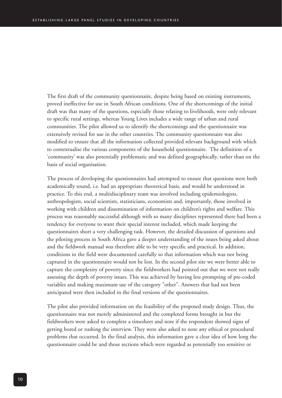The first draft of the community questionnaire, despite being based on existing instruments, proved ineffective for use in South African conditions. One of the shortcomings of the initial draft was that many of the questions, especially those relating to livelihoods, were only relevant to specific rural settings, whereas Young Lives includes a wide range of urban and rural communities. The pilot allowed us to identify the shortcomings and the questionnaire was extensively revised for use in the other countries. The community questionnaire was also modified to ensure that all the information collected provided relevant background with which to contextualise the various components of the household questionnaire. The definition of a 'community' was also potentially problematic and was defined geographically, rather than on the basis of social organisation.

The process of developing the questionnaires had attempted to ensure that questions were both academically sound, i.e. had an appropriate theoretical basis, and would be understood in practice. To this end, a multidisciplinary team was involved including epidemiologists, anthropologists, social scientists, statisticians, economists and, importantly, those involved in working with children and dissemination of information on children's rights and welfare. This process was reasonably successful although with so many disciplines represented there had been a tendency for everyone to want their special interest included, which made keeping the questionnaires short a very challenging task. However, the detailed discussion of questions and the piloting process in South Africa gave a deeper understanding of the issues being asked about and the fieldwork manual was therefore able to be very specific and practical. In addition, conditions in the field were documented carefully so that information which was not being captured in the questionnaire would not be lost. In the second pilot site we were better able to capture the complexity of poverty since the fieldworkers had pointed out that we were not really assessing the depth of poverty issues. This was achieved by having less prompting of pre-coded variables and making maximum use of the category "other". Answers that had not been anticipated were then included in the final versions of the questionnaires.

The pilot also provided information on the feasibility of the proposed study design. Thus, the questionnaire was not merely administered and the completed forms brought in but the fieldworkers were asked to complete a timesheet and note if the respondent showed signs of getting bored or rushing the interview. They were also asked to note any ethical or procedural problems that occurred. In the final analysis, this information gave a clear idea of how long the questionnaire could be and those sections which were regarded as potentially too sensitive or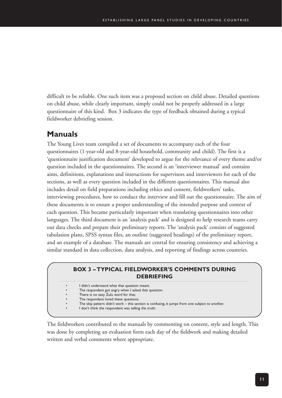difficult to be reliable. One such item was a proposed section on child abuse. Detailed questions on child abuse, while clearly important, simply could not be properly addressed in a large questionnaire of this kind. Box 3 indicates the type of feedback obtained during a typical fieldworker debriefing session.

#### **Manuals**

The Young Lives team compiled a set of documents to accompany each of the four questionnaires (1-year-old and 8-year-old household, community and child). The first is a 'questionnaire justification document' developed to argue for the relevance of every theme and/or question included in the questionnaires. The second is an 'interviewer manual' and contains aims, definitions, explanations and instructions for supervisors and interviewers for each of the sections, as well as every question included in the different questionnaires. This manual also includes detail on field preparations including ethics and consent, fieldworkers' tasks, interviewing procedures, how to conduct the interview and fill out the questionnaire. The aim of these documents is to ensure a proper understanding of the intended purpose and context of each question. This became particularly important when translating questionnaires into other languages. The third document is an 'analysis pack' and is designed to help research teams carry out data checks and prepare their preliminary reports. The 'analysis pack' consists of suggested tabulation plans, SPSS syntax files, an outline (suggested headings) of the preliminary report, and an example of a database. The manuals are central for ensuring consistency and achieving a similar standard in data collection, data analysis, and reporting of findings across countries.

#### **BOX 3 – TYPICAL FIELDWORKER'S COMMENTS DURING DEBRIEFING**

- I didn't understand what that question meant.
- The respondent got angry when I asked that question.
- There is no easy Zulu word for that.
- The respondent loved these questions.
- The skip pattern didn't work this section is confusing, it jumps from one subject to another.
- I don't think the respondent was telling the truth.

The fieldworkers contributed to the manuals by commenting on content, style and length. This was done by completing an evaluation form each day of the fieldwork and making detailed written and verbal comments where appropriate.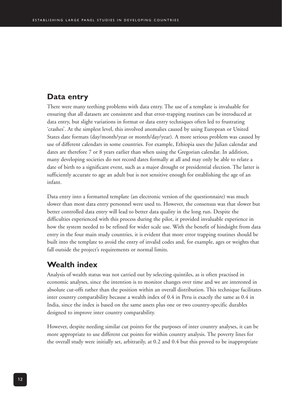### **Data entry**

There were many teething problems with data entry. The use of a template is invaluable for ensuring that all datasets are consistent and that error-trapping routines can be introduced at data entry, but slight variations in format or data entry techniques often led to frustrating 'crashes'. At the simplest level, this involved anomalies caused by using European or United States date formats (day/month/year or month/day/year). A more serious problem was caused by use of different calendars in some countries. For example, Ethiopia uses the Julian calendar and dates are therefore 7 or 8 years earlier than when using the Gregorian calendar. In addition, many developing societies do not record dates formally at all and may only be able to relate a date of birth to a significant event, such as a major drought or presidential election. The latter is sufficiently accurate to age an adult but is not sensitive enough for establishing the age of an infant.

Data entry into a formatted template (an electronic version of the questionnaire) was much slower than most data entry personnel were used to. However, the consensus was that slower but better controlled data entry will lead to better data quality in the long run. Despite the difficulties experienced with this process during the pilot, it provided invaluable experience in how the system needed to be refined for wider scale use. With the benefit of hindsight from data entry in the four main study countries, it is evident that more error trapping routines should be built into the template to avoid the entry of invalid codes and, for example, ages or weights that fall outside the project's requirements or normal limits.

## **Wealth index**

Analysis of wealth status was not carried out by selecting quintiles, as is often practised in economic analyses, since the intention is to monitor changes over time and we are interested in absolute cut-offs rather than the position within an overall distribution. This technique facilitates inter country comparability because a wealth index of 0.4 in Peru is exactly the same as 0.4 in India, since the index is based on the same assets plus one or two country-specific durables designed to improve inter country comparability.

However, despite needing similar cut points for the purposes of inter country analyses, it can be more appropriate to use different cut points for within country analysis. The poverty lines for the overall study were initially set, arbitrarily, at 0.2 and 0.4 but this proved to be inappropriate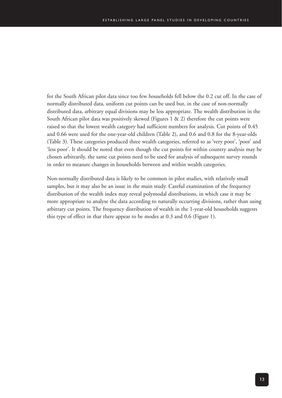for the South African pilot data since too few households fell below the 0.2 cut off. In the case of normally distributed data, uniform cut points can be used but, in the case of non-normally distributed data, arbitrary equal divisions may be less appropriate. The wealth distribution in the South African pilot data was positively skewed (Figures 1 & 2) therefore the cut points were raised so that the lowest wealth category had sufficient numbers for analysis. Cut points of 0.45 and 0.66 were used for the one-year-old children (Table 2), and 0.6 and 0.8 for the 8-year-olds (Table 3). These categories produced three wealth categories, referred to as 'very poor', 'poor' and 'less poor'. It should be noted that even though the cut points for within country analysis may be chosen arbitrarily, the same cut points need to be used for analysis of subsequent survey rounds in order to measure changes in households between and within wealth categories.

Non-normally distributed data is likely to be common in pilot studies, with relatively small samples, but it may also be an issue in the main study. Careful examination of the frequency distribution of the wealth index may reveal polymodal distributions, in which case it may be more appropriate to analyse the data according to naturally occurring divisions, rather than using arbitrary cut points. The frequency distribution of wealth in the 1-year-old households suggests this type of effect in that there appear to be modes at 0.3 and 0.6 (Figure 1).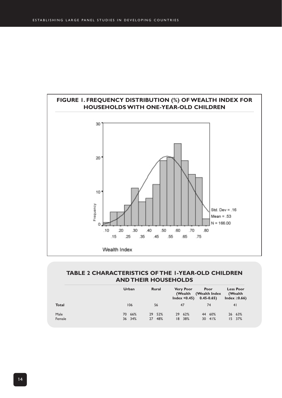

#### **TABLE 2 CHARACTERISTICS OF THE 1-YEAR-OLD CHILDREN AND THEIR HOUSEHOLDS**

|                | Urban            | <b>Rural</b>        | <b>Very Poor</b><br>(Wealth<br>Index $< 0.45$ ) | Poor<br>(Wealth Index)<br>$0.45 - 0.65$ | <b>Less Poor</b><br>(Wealth)<br>Index $\geq 0.66$ ) |
|----------------|------------------|---------------------|-------------------------------------------------|-----------------------------------------|-----------------------------------------------------|
| <b>Total</b>   | 106              | 56                  | 47                                              | 74                                      | 41                                                  |
| Male<br>Female | 70 66%<br>36 34% | 29 52%<br>48%<br>27 | 29 62%<br>38%<br>18                             | 44 60%<br>$30 \t 41%$                   | 26 63%<br>15 37%                                    |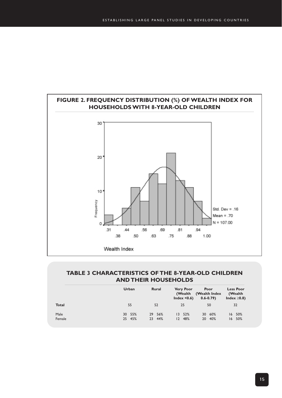

#### **TABLE 3 CHARACTERISTICS OF THE 8-YEAR-OLD CHILDREN AND THEIR HOUSEHOLDS**

|                | Urban            | <b>Rural</b>        | <b>Very Poor</b><br>(Wealth<br>Index $< 0.6$ ) | Poor<br>(Wealth Index<br>$0.6 - 0.79$ | <b>Less Poor</b><br>(Wealth<br>Index $\geq$ 0.8) |
|----------------|------------------|---------------------|------------------------------------------------|---------------------------------------|--------------------------------------------------|
| <b>Total</b>   | 55               | 52                  | 25                                             | 50                                    | 32                                               |
| Male<br>Female | 30 55%<br>25 45% | 29 56%<br>44%<br>23 | 52%<br>13<br>48%<br>12                         | 60%<br>30<br>40%<br>20                | $16, 50\%$<br>50%<br>16                          |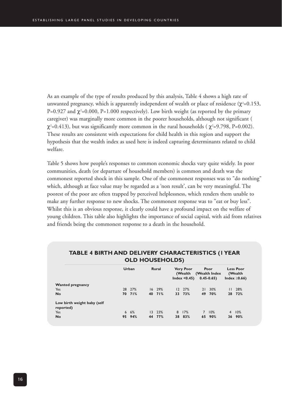As an example of the type of results produced by this analysis, Table 4 shows a high rate of unwanted pregnancy, which is apparently independent of wealth or place of residence ( $\chi^2$ =0.153, P=0.927 and  $\chi^2$ =0.000, P=1.000 respectively). Low birth weight (as reported by the primary caregiver) was marginally more common in the poorer households, although not significant (  $\chi^2$ =0.413), but was significantly more common in the rural households (  $\chi^2$ =9.798, P=0.002). These results are consistent with expectations for child health in this region and support the hypothesis that the wealth index as used here is indeed capturing determinants related to child welfare.

Table 5 shows how people's responses to common economic shocks vary quite widely. In poor communities, death (or departure of household members) is common and death was the commonest reported shock in this sample. One of the commonest responses was to "do nothing" which, although at face value may be regarded as a 'non result', can be very meaningful. The poorest of the poor are often trapped by perceived helplessness, which renders them unable to make any further response to new shocks. The commonest response was to "eat or buy less". Whilst this is an obvious response, it clearly could have a profound impact on the welfare of young children. This table also highlights the importance of social capital, with aid from relatives and friends being the commonest response to a death in the household.

|                                          |    | Urban  | <b>Rural</b> |   | <b>Very Poor</b><br>(Wealth<br>Index $< 0.45$ ) |                | Poor<br>(Wealth Index<br>$0.45 - 0.65$ |                | <b>Less Poor</b><br>(Wealth)<br>Index $\geq 0.66$ ) |
|------------------------------------------|----|--------|--------------|---|-------------------------------------------------|----------------|----------------------------------------|----------------|-----------------------------------------------------|
| <b>Wanted pregnancy</b>                  |    |        |              |   |                                                 |                |                                        |                |                                                     |
| Yes                                      |    | 28 27% | $16$ 29%     |   | 12 27%                                          | 21             | 30%                                    | $\mathsf{L}$   | 28%                                                 |
| <b>No</b>                                |    | 70 71% | 40 71%       |   | 33 73%                                          | 49             | 70%                                    |                | 28 72%                                              |
| Low birth weight baby (self<br>reported) |    |        |              |   |                                                 |                |                                        |                |                                                     |
| Yes                                      |    | 6, 6%  | 13, 23%      | 8 | 17%                                             | $\overline{7}$ | 10%                                    | $\overline{4}$ | 10%                                                 |
| <b>No</b>                                | 95 | 94%    | 44 77%       |   | 38 83%                                          |                | 65 90%                                 |                | 36 90%                                              |

#### **TABLE 4 BIRTH AND DELIVERY CHARACTERISTICS (1 YEAR OLD HOUSEHOLDS)**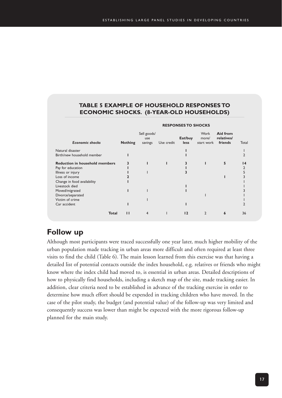#### **TABLE 5 EXAMPLE OF HOUSEHOLD RESPONSES TO ECONOMIC SHOCKS. (8-YEAR-OLD HOUSEHOLDS)**

|                                       |                |                               |            | <b>RESPONSES TO SHOCKS</b> |                             |                                   |       |
|---------------------------------------|----------------|-------------------------------|------------|----------------------------|-----------------------------|-----------------------------------|-------|
| <b>Economic shocks</b>                | <b>Nothing</b> | Sell goods/<br>use<br>savings | Use credit | Eat/buy<br><b>less</b>     | Work<br>more/<br>start work | Aid from<br>relatives/<br>friends | Total |
| Natural disaster                      |                |                               |            |                            |                             |                                   |       |
| Birth/new household member            |                |                               |            |                            |                             |                                   |       |
| <b>Reduction in household members</b> | 3              |                               |            |                            |                             | 5                                 | 14    |
| Pay for education                     |                |                               |            |                            |                             |                                   |       |
| Illness or injury                     |                |                               |            |                            |                             |                                   | 5     |
| Loss of income                        |                |                               |            |                            |                             |                                   |       |
| Change in food availability           |                |                               |            |                            |                             |                                   |       |
| Livestock died                        |                |                               |            |                            |                             |                                   |       |
| Moved/migrated                        |                |                               |            |                            |                             |                                   |       |
| Divorce/separated                     |                |                               |            |                            |                             |                                   |       |
| Victim of crime                       |                |                               |            |                            |                             |                                   |       |
| Car accident                          |                |                               |            |                            |                             |                                   |       |
| <b>Total</b>                          | п              | 4                             |            | 12                         |                             | 6                                 | 36    |

## **Follow up**

Although most participants were traced successfully one year later, much higher mobility of the urban population made tracking in urban areas more difficult and often required at least three visits to find the child (Table 6). The main lesson learned from this exercise was that having a detailed list of potential contacts outside the index household, e.g. relatives or friends who might know where the index child had moved to, is essential in urban areas. Detailed descriptions of how to physically find households, including a sketch map of the site, made tracking easier. In addition, clear criteria need to be established in advance of the tracking exercise in order to determine how much effort should be expended in tracking children who have moved. In the case of the pilot study, the budget (and potential value) of the follow-up was very limited and consequently success was lower than might be expected with the more rigorous follow-up planned for the main study.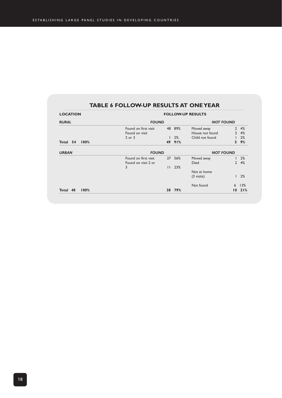#### **TABLE 6 FOLLOW-UP RESULTS AT ONE YEAR**

| <b>LOCATION</b>  | <b>FOLLOW-UP RESULTS</b> |              |                  |                      |                |     |  |  |  |  |
|------------------|--------------------------|--------------|------------------|----------------------|----------------|-----|--|--|--|--|
| <b>RURAL</b>     | <b>FOUND</b>             |              |                  | <b>NOT FOUND</b>     |                |     |  |  |  |  |
|                  | Found on first visit     | 48           | 89%              | Moved away           | $\overline{2}$ | 4%  |  |  |  |  |
|                  | Found on visit           |              |                  | House not found      | $\overline{2}$ | 4%  |  |  |  |  |
|                  | $2$ or $3$               |              | 2%               | Child not found      |                | 2%  |  |  |  |  |
| 100%<br>Total 54 |                          | 49           | 91%              |                      | 5              | 9%  |  |  |  |  |
| <b>URBAN</b>     | <b>FOUND</b>             |              | <b>NOT FOUND</b> |                      |                |     |  |  |  |  |
|                  | Found on first visit     | 27           | 56%              | Moved away           |                | 2%  |  |  |  |  |
|                  | Found on visit 2 or      |              |                  | <b>Died</b>          | $\mathbf{2}$   | 4%  |  |  |  |  |
|                  | 3                        | $\mathsf{L}$ | 23%              |                      |                |     |  |  |  |  |
|                  |                          |              |                  | Not at home          |                |     |  |  |  |  |
|                  |                          |              |                  | $(3 \text{ visits})$ |                | 2%  |  |  |  |  |
|                  |                          |              |                  | Not found            | 6              | 13% |  |  |  |  |
| 100%<br>Total 48 |                          | 38           | 79%              |                      | 10             | 21% |  |  |  |  |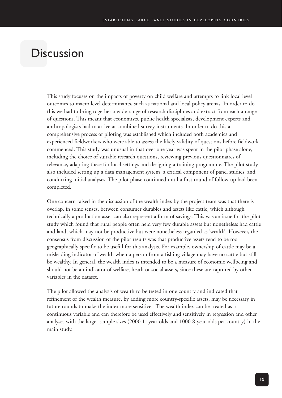## **Discussion**

This study focuses on the impacts of poverty on child welfare and attempts to link local level outcomes to macro level determinants, such as national and local policy arenas. In order to do this we had to bring together a wide range of research disciplines and extract from each a range of questions. This meant that economists, public health specialists, development experts and anthropologists had to arrive at combined survey instruments. In order to do this a comprehensive process of piloting was established which included both academics and experienced fieldworkers who were able to assess the likely validity of questions before fieldwork commenced. This study was unusual in that over one year was spent in the pilot phase alone, including the choice of suitable research questions, reviewing previous questionnaires of relevance, adapting these for local settings and designing a training programme. The pilot study also included setting up a data management system, a critical component of panel studies, and conducting initial analyses. The pilot phase continued until a first round of follow-up had been completed.

One concern raised in the discussion of the wealth index by the project team was that there is overlap, in some senses, between consumer durables and assets like cattle, which although technically a production asset can also represent a form of savings. This was an issue for the pilot study which found that rural people often held very few durable assets but nonetheless had cattle and land, which may not be productive but were nonetheless regarded as 'wealth'. However, the consensus from discussion of the pilot results was that productive assets tend to be too geographically specific to be useful for this analysis. For example, ownership of cattle may be a misleading indicator of wealth when a person from a fishing village may have no cattle but still be wealthy. In general, the wealth index is intended to be a measure of economic wellbeing and should not be an indicator of welfare, heath or social assets, since these are captured by other variables in the dataset.

The pilot allowed the analysis of wealth to be tested in one country and indicated that refinement of the wealth measure, by adding more country-specific assets, may be necessary in future rounds to make the index more sensitive. The wealth index can be treated as a continuous variable and can therefore be used effectively and sensitively in regression and other analyses with the larger sample sizes (2000 1- year-olds and 1000 8-year-olds per country) in the main study.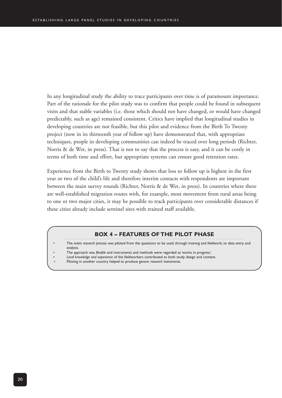In any longitudinal study the ability to trace participants over time is of paramount importance. Part of the rationale for the pilot study was to confirm that people could be found in subsequent visits and that stable variables (i.e. those which should not have changed, or would have changed predictably, such as age) remained consistent. Critics have implied that longitudinal studies in developing countries are not feasible, but this pilot and evidence from the Birth To Twenty project (now in its thirteenth year of follow up) have demonstrated that, with appropriate techniques, people in developing communities can indeed be traced over long periods (Richter, Norris & de Wet, in press). That is not to say that the process is easy, and it can be costly in terms of both time and effort, but appropriate systems can ensure good retention rates.

Experience from the Birth to Twenty study shows that loss to follow up is highest in the first year or two of the child's life and therefore interim contacts with respondents are important between the main survey rounds (Richter, Norris & de Wet, in press). In countries where there are well-established migration routes with, for example, most movement from rural areas being to one or two major cities, it may be possible to track participants over considerable distances if these cities already include sentinel sites with trained staff available.

#### **BOX 4 – FEATURES OF THE PILOT PHASE**

- The *entire research process* was piloted from the questions to be used, through training and fieldwork, to data entry and analysis.
- The approach was *flexible* and instruments and methods were regarded as 'works in progress'.
- *Local knowledge and experience* of the fieldworkers contributed to both study design and content.
- Piloting in another country helped to produce *generic research instruments*.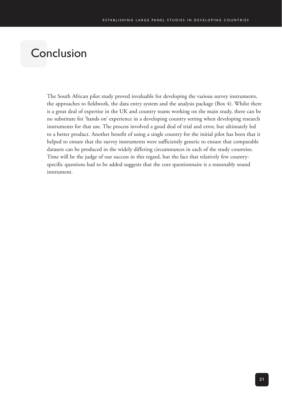# Conclusion

The South African pilot study proved invaluable for developing the various survey instruments, the approaches to fieldwork, the data entry system and the analysis package (Box 4). Whilst there is a great deal of expertise in the UK and country teams working on the main study, there can be no substitute for 'hands on' experience in a developing country setting when developing research instruments for that use. The process involved a good deal of trial and error, but ultimately led to a better product. Another benefit of using a single country for the initial pilot has been that it helped to ensure that the survey instruments were sufficiently generic to ensure that comparable datasets can be produced in the widely differing circumstances in each of the study countries. Time will be the judge of our success in this regard, but the fact that relatively few countryspecific questions had to be added suggests that the core questionnaire is a reasonably sound instrument.